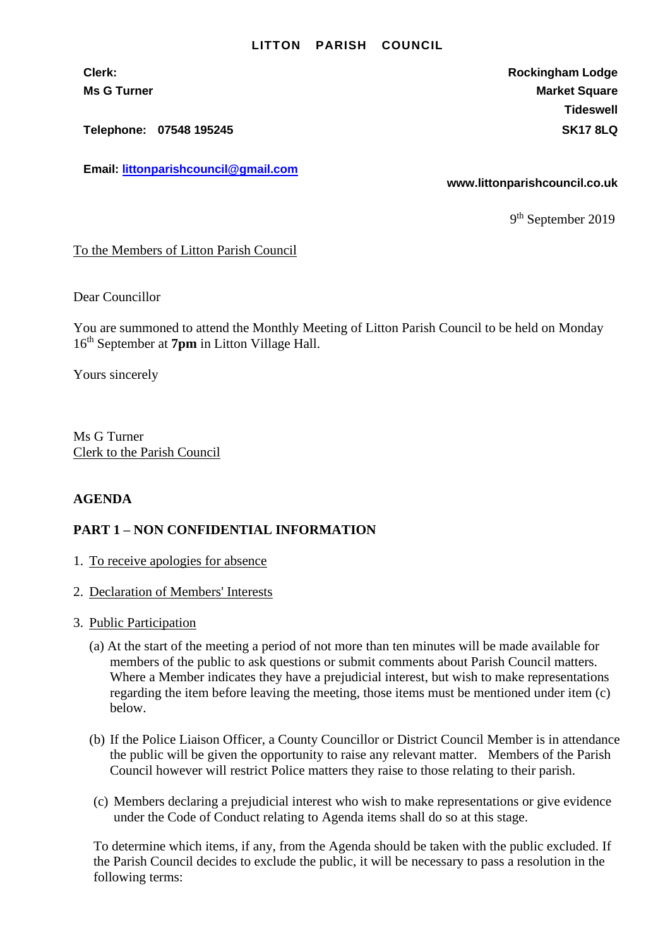## **LITTON PARISH COUNCIL**

**Telephone: 07548 195245 SK17 8LQ**

**Email: [littonparishcouncil@gmail.com](mailto:littonparishcouncil@gmail.com)**

**Clerk: Rockingham Lodge Ms G Turner Market Square** Market Square Market Square Market Square **Tideswell**

**www.littonparishcouncil.co.uk**

9<sup>th</sup> September 2019

To the Members of Litton Parish Council

Dear Councillor

You are summoned to attend the Monthly Meeting of Litton Parish Council to be held on Monday 16 th September at **7pm** in Litton Village Hall.

Yours sincerely

Ms G Turner Clerk to the Parish Council

## **AGENDA**

## **PART 1 – NON CONFIDENTIAL INFORMATION**

- 1. To receive apologies for absence
- 2. Declaration of Members' Interests
- 3. Public Participation
	- (a) At the start of the meeting a period of not more than ten minutes will be made available for members of the public to ask questions or submit comments about Parish Council matters. Where a Member indicates they have a prejudicial interest, but wish to make representations regarding the item before leaving the meeting, those items must be mentioned under item (c) below.
	- (b) If the Police Liaison Officer, a County Councillor or District Council Member is in attendance the public will be given the opportunity to raise any relevant matter. Members of the Parish Council however will restrict Police matters they raise to those relating to their parish.
	- (c) Members declaring a prejudicial interest who wish to make representations or give evidence under the Code of Conduct relating to Agenda items shall do so at this stage.

To determine which items, if any, from the Agenda should be taken with the public excluded. If the Parish Council decides to exclude the public, it will be necessary to pass a resolution in the following terms: